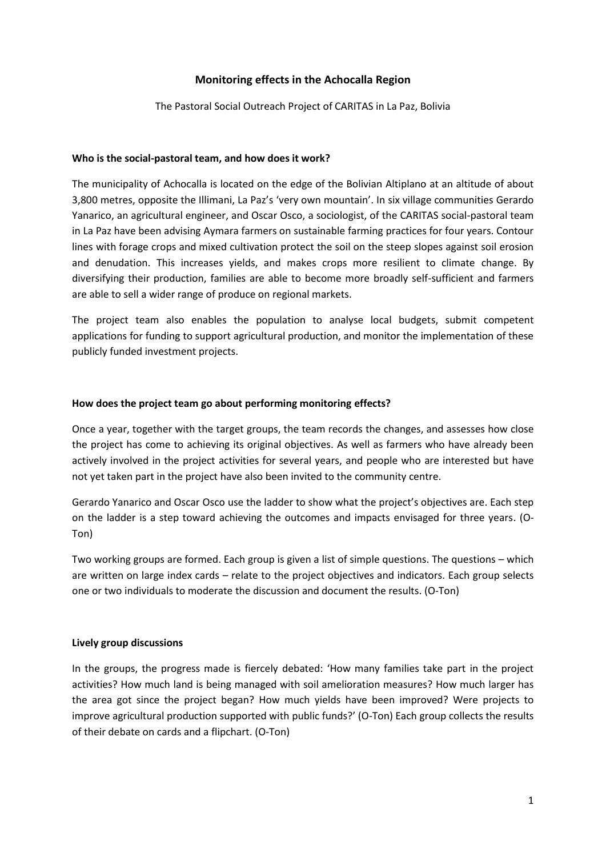## **Monitoring effects in the Achocalla Region**

The Pastoral Social Outreach Project of CARITAS in La Paz, Bolivia

#### **Who is the social-pastoral team, and how does it work?**

The municipality of Achocalla is located on the edge of the Bolivian Altiplano at an altitude of about 3,800 metres, opposite the Illimani, La Paz's 'very own mountain'. In six village communities Gerardo Yanarico, an agricultural engineer, and Oscar Osco, a sociologist, of the CARITAS social-pastoral team in La Paz have been advising Aymara farmers on sustainable farming practices for four years. Contour lines with forage crops and mixed cultivation protect the soil on the steep slopes against soil erosion and denudation. This increases yields, and makes crops more resilient to climate change. By diversifying their production, families are able to become more broadly self-sufficient and farmers are able to sell a wider range of produce on regional markets.

The project team also enables the population to analyse local budgets, submit competent applications for funding to support agricultural production, and monitor the implementation of these publicly funded investment projects.

#### **How does the project team go about performing monitoring effects?**

Once a year, together with the target groups, the team records the changes, and assesses how close the project has come to achieving its original objectives. As well as farmers who have already been actively involved in the project activities for several years, and people who are interested but have not yet taken part in the project have also been invited to the community centre.

Gerardo Yanarico and Oscar Osco use the ladder to show what the project's objectives are. Each step on the ladder is a step toward achieving the outcomes and impacts envisaged for three years. (O-Ton)

Two working groups are formed. Each group is given a list of simple questions. The questions – which are written on large index cards – relate to the project objectives and indicators. Each group selects one or two individuals to moderate the discussion and document the results. (O-Ton)

### **Lively group discussions**

In the groups, the progress made is fiercely debated: 'How many families take part in the project activities? How much land is being managed with soil amelioration measures? How much larger has the area got since the project began? How much yields have been improved? Were projects to improve agricultural production supported with public funds?' (O-Ton) Each group collects the results of their debate on cards and a flipchart. (O-Ton)